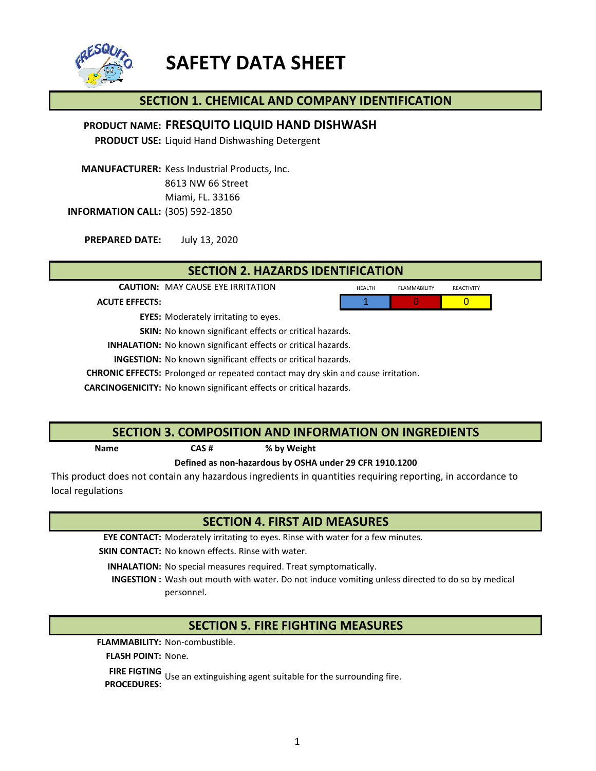

# **SAFETY DATA SHEET**

# **SECTION 1. CHEMICAL AND COMPANY IDENTIFICATION**

# **FRESQUITO LIQUID HAND DISHWASH PRODUCT NAME:**

**PRODUCT USE:** Liquid Hand Dishwashing Detergent

**MANUFACTURER:** Kess Industrial Products, Inc. 8613 NW 66 Street Miami, FL. 33166 **INFORMATION CALL:** (305) 592-1850

July 13, 2020 **PREPARED DATE:**

**SECTION 2. HAZARDS IDENTIFICATION**

**CAUTION:** MAY CAUSE EYE IRRITATION **HEALTH** FLAMMABILITY REACTIVITY

1 0 0

**ACUTE EFFECTS:**

**EYES:** Moderately irritating to eyes.

**SKIN:** No known significant effects or critical hazards.

**INHALATION:** No known significant effects or critical hazards.

**INGESTION:** No known significant effects or critical hazards.

**CHRONIC EFFECTS:** Prolonged or repeated contact may dry skin and cause irritation.

**CARCINOGENICITY:** No known significant effects or critical hazards.

### **SECTION 3. COMPOSITION AND INFORMATION ON INGREDIENTS**

**CAS # Name % by Weight**

**Defined as non-hazardous by OSHA under 29 CFR 1910.1200**

This product does not contain any hazardous ingredients in quantities requiring reporting, in accordance to local regulations

# **SECTION 4. FIRST AID MEASURES**

**EYE CONTACT:** Moderately irritating to eyes. Rinse with water for a few minutes.

**SKIN CONTACT:** No known effects. Rinse with water.

INHALATION: No special measures required. Treat symptomatically.

INGESTION : Wash out mouth with water. Do not induce vomiting unless directed to do so by medical personnel.

# **SECTION 5. FIRE FIGHTING MEASURES**

FLAMMABILITY: Non-combustible.

FLASH POINT: None.

**FIRE FIGTING** Use an extinguishing agent suitable for the surrounding fire.<br>PROCEDURES: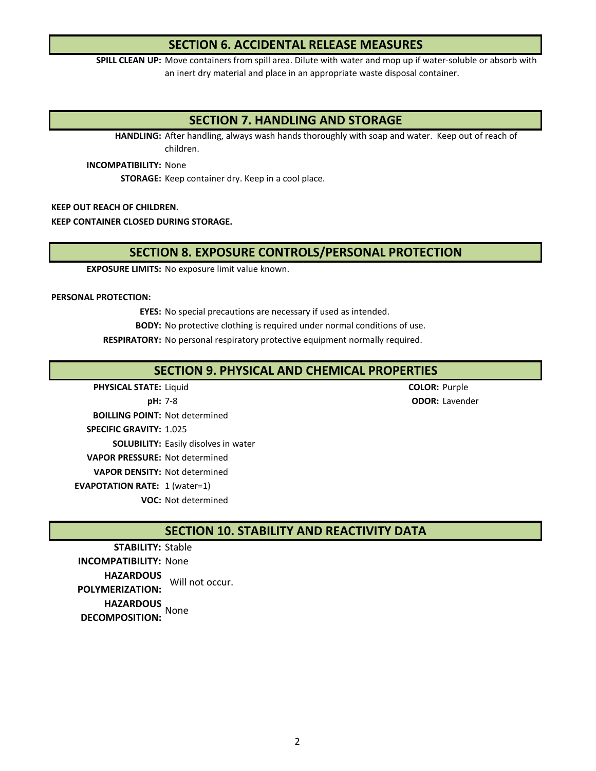# **SECTION 6. ACCIDENTAL RELEASE MEASURES**

**SPILL CLEAN UP:** Move containers from spill area. Dilute with water and mop up if water-soluble or absorb with an inert dry material and place in an appropriate waste disposal container.

# **SECTION 7. HANDLING AND STORAGE**

**HANDLING:** After handling, always wash hands thoroughly with soap and water. Keep out of reach of children.

**INCOMPATIBILITY: None** 

**STORAGE:** Keep container dry. Keep in a cool place.

**KEEP OUT REACH OF CHILDREN.**

**KEEP CONTAINER CLOSED DURING STORAGE.**

# **SECTION 8. EXPOSURE CONTROLS/PERSONAL PROTECTION**

**EXPOSURE LIMITS:** No exposure limit value known.

#### **PERSONAL PROTECTION:**

**EYES:** No special precautions are necessary if used as intended.

**BODY:** No protective clothing is required under normal conditions of use.

RESPIRATORY: No personal respiratory protective equipment normally required.

# **SECTION 9. PHYSICAL AND CHEMICAL PROPERTIES**

Liquid **COLOR:** Purple **pH:** 7-8 **DH:** 7-8 **BOILLING POINT: Not determined** 1.025 **SPECIFIC GRAVITY: SOLUBILITY:** Easily disolves in water **VAPOR PRESSURE: Not determined VAPOR DENSITY: Not determined EVAPOTATION RATE:** 1 (water=1) **VOC: Not determined PHYSICAL STATE: pH: ODOR:**

**SECTION 10. STABILITY AND REACTIVITY DATA**

STABILITY: Stable **INCOMPATIBILITY: None HAZARDOUS POLYMERIZATION:** Will not occur. **HAZARDOUS**  None **DECOMPOSITION:**